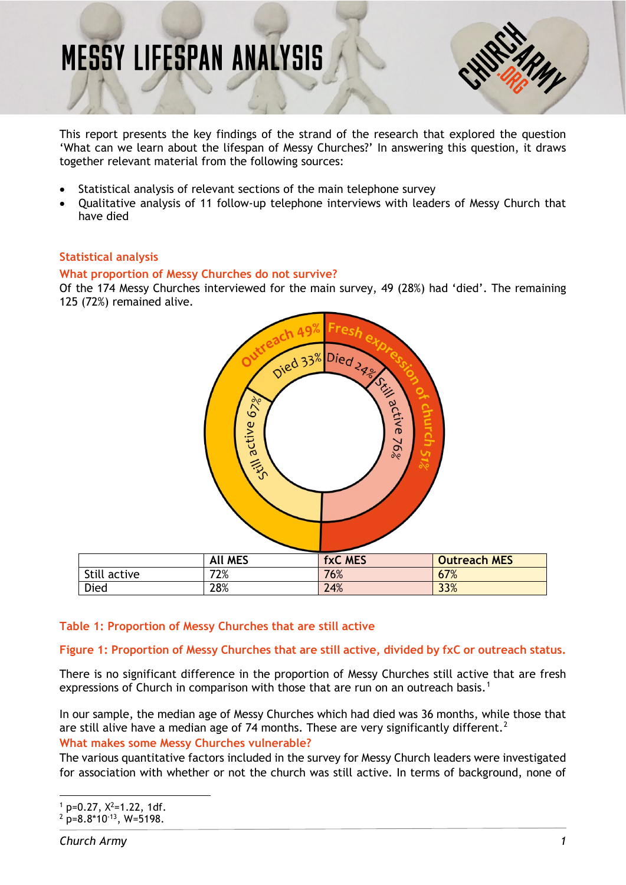# **MESSY LIFESPAN ANALYSIS**



This report presents the key findings of the strand of the research that explored the question 'What can we learn about the lifespan of Messy Churches?' In answering this question, it draws together relevant material from the following sources:

- Statistical analysis of relevant sections of the main telephone survey
- Qualitative analysis of 11 follow-up telephone interviews with leaders of Messy Church that have died

# **Statistical analysis**

#### **What proportion of Messy Churches do not survive?**

Of the 174 Messy Churches interviewed for the main survey, 49 (28%) had 'died'. The remaining 125 (72%) remained alive.



#### **Table 1: Proportion of Messy Churches that are still active**

#### **Figure 1: Proportion of Messy Churches that are still active, divided by fxC or outreach status.**

There is no significant difference in the proportion of Messy Churches still active that are fresh expressions of Church in comparison with those that are run on an outreach basis.<sup>[1](#page-0-0)</sup>

In our sample, the median age of Messy Churches which had died was 36 months, while those that are still alive have a median age of 74 months. These are very significantly different.<sup>[2](#page-0-1)</sup>

#### **What makes some Messy Churches vulnerable?**

The various quantitative factors included in the survey for Messy Church leaders were investigated for association with whether or not the church was still active. In terms of background, none of

<span id="page-0-0"></span> $\frac{1}{1}$  p=0.27,  $X^2$ =1.22, 1df.

<span id="page-0-1"></span> $2 \text{ p}=8.8 \times 10^{-13}$ , W=5198.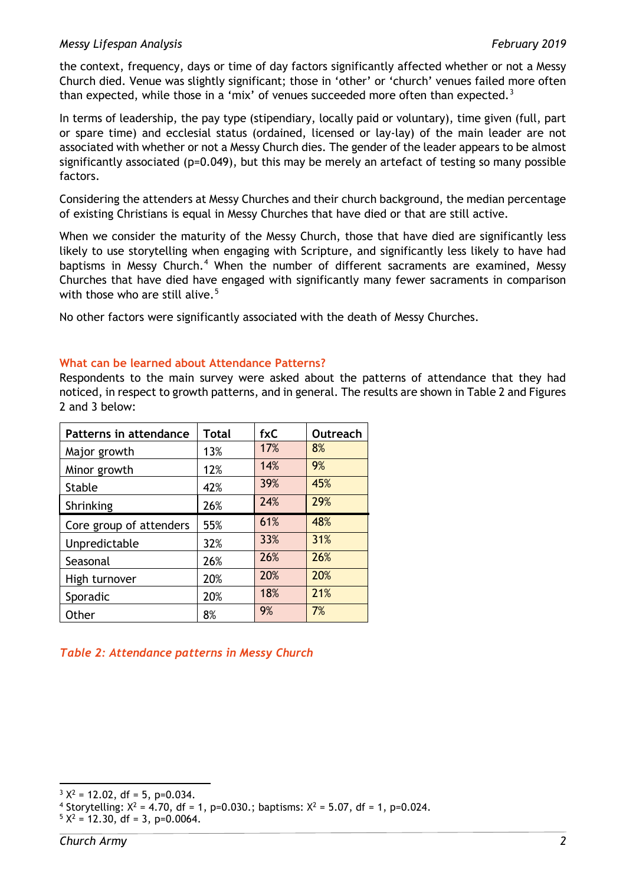### *Messy Lifespan Analysis February 2019*

the context, frequency, days or time of day factors significantly affected whether or not a Messy Church died. Venue was slightly significant; those in 'other' or 'church' venues failed more often than expected, while those in a 'mix' of venues succeeded more often than expected.<sup>[3](#page-1-0)</sup>

In terms of leadership, the pay type (stipendiary, locally paid or voluntary), time given (full, part or spare time) and ecclesial status (ordained, licensed or lay-lay) of the main leader are not associated with whether or not a Messy Church dies. The gender of the leader appears to be almost significantly associated (p=0.049), but this may be merely an artefact of testing so many possible factors.

Considering the attenders at Messy Churches and their church background, the median percentage of existing Christians is equal in Messy Churches that have died or that are still active.

When we consider the maturity of the Messy Church, those that have died are significantly less likely to use storytelling when engaging with Scripture, and significantly less likely to have had baptisms in Messy Church.<sup>[4](#page-1-1)</sup> When the number of different sacraments are examined, Messy Churches that have died have engaged with significantly many fewer sacraments in comparison with those who are still alive. $5$ 

No other factors were significantly associated with the death of Messy Churches.

# **What can be learned about Attendance Patterns?**

Respondents to the main survey were asked about the patterns of attendance that they had noticed, in respect to growth patterns, and in general. The results are shown in Table 2 and Figures 2 and 3 below:

| <b>Patterns in attendance</b> | <b>Total</b> | fxC | Outreach |
|-------------------------------|--------------|-----|----------|
| Major growth                  | 13%          | 17% | 8%       |
| Minor growth                  | 12%          | 14% | 9%       |
| <b>Stable</b>                 | 42%          | 39% | 45%      |
| Shrinking                     | 26%          | 24% | 29%      |
| Core group of attenders       | 55%          | 61% | 48%      |
| Unpredictable                 | 32%          | 33% | 31%      |
| Seasonal                      | 26%          | 26% | 26%      |
| High turnover                 | 20%          | 20% | 20%      |
| Sporadic                      | 20%          | 18% | 21%      |
| Other                         | 8%           | 9%  | 7%       |

# *Table 2: Attendance patterns in Messy Church*

<span id="page-1-0"></span> $3 X^2 = 12.02$ , df = 5, p=0.034.

<span id="page-1-1"></span><sup>&</sup>lt;sup>4</sup> Storytelling:  $X^2 = 4.70$ , df = 1, p=0.030.; baptisms:  $X^2 = 5.07$ , df = 1, p=0.024.

<span id="page-1-2"></span> $5 X^2 = 12.30$ , df = 3, p=0.0064.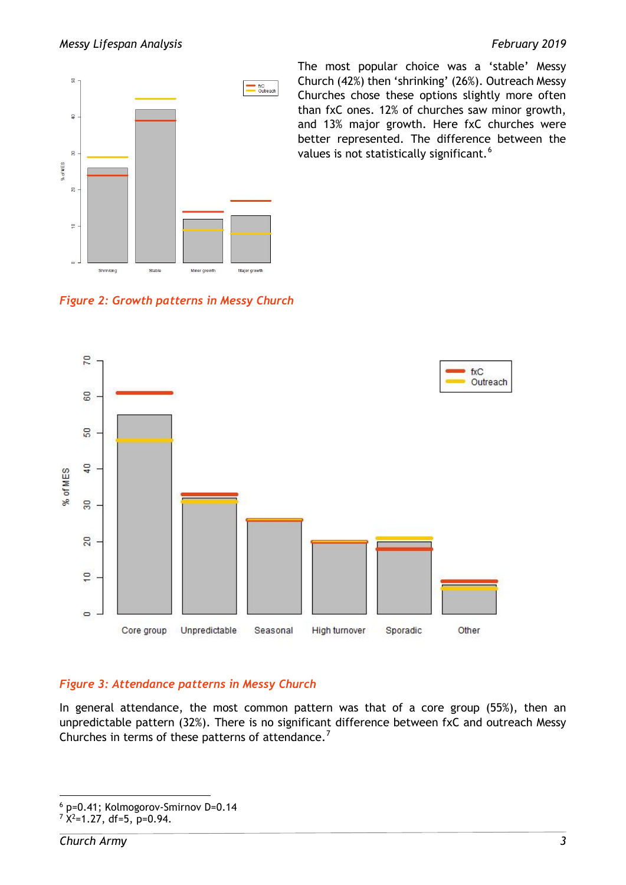

The most popular choice was a 'stable' Messy Church (42%) then 'shrinking' (26%). Outreach Messy Churches chose these options slightly more often than fxC ones. 12% of churches saw minor growth, and 13% major growth. Here fxC churches were better represented. The difference between the values is not statistically significant.<sup>[6](#page-2-0)</sup>

*Figure 2: Growth patterns in Messy Church*



# *Figure 3: Attendance patterns in Messy Church*

In general attendance, the most common pattern was that of a core group (55%), then an unpredictable pattern (32%). There is no significant difference between fxC and outreach Messy Churches in terms of these patterns of attendance.<sup>[7](#page-2-1)</sup>

<span id="page-2-0"></span> <sup>6</sup> p=0.41; Kolmogorov-Smirnov D=0.14

<span id="page-2-1"></span> $7$   $X^2$ =1.27, df=5, p=0.94.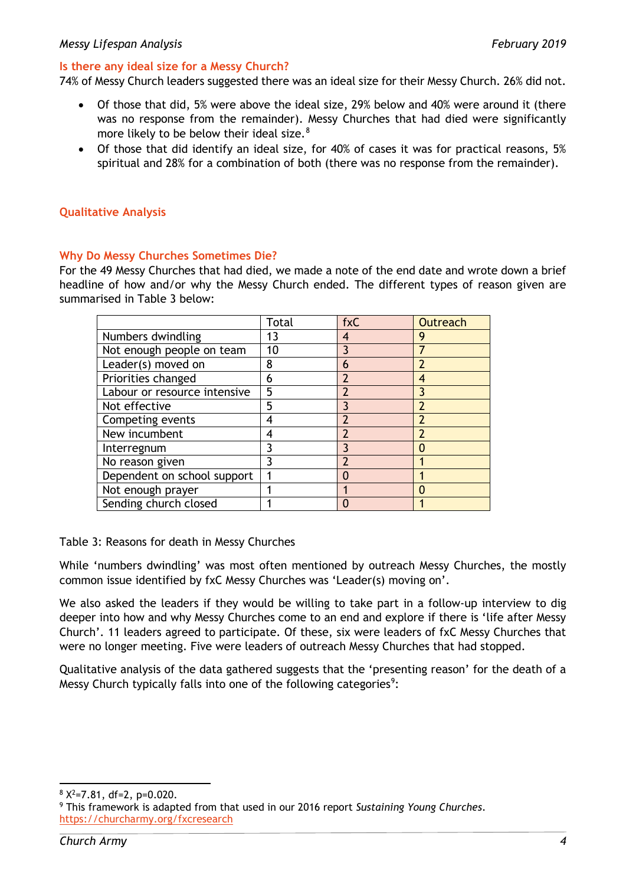### **Is there any ideal size for a Messy Church?**

74% of Messy Church leaders suggested there was an ideal size for their Messy Church. 26% did not.

- Of those that did, 5% were above the ideal size, 29% below and 40% were around it (there was no response from the remainder). Messy Churches that had died were significantly more likely to be below their ideal size. $8$
- Of those that did identify an ideal size, for 40% of cases it was for practical reasons, 5% spiritual and 28% for a combination of both (there was no response from the remainder).

### **Qualitative Analysis**

#### **Why Do Messy Churches Sometimes Die?**

For the 49 Messy Churches that had died, we made a note of the end date and wrote down a brief headline of how and/or why the Messy Church ended. The different types of reason given are summarised in Table 3 below:

|                              | Total | fxC | <b>Outreach</b>          |
|------------------------------|-------|-----|--------------------------|
| Numbers dwindling            | 13    | 4   | 9                        |
| Not enough people on team    | 10    |     |                          |
| Leader(s) moved on           | 8     | 6   |                          |
| Priorities changed           | 6     |     | 4                        |
| Labour or resource intensive | 5     | 2   |                          |
| Not effective                | 5     |     | $\overline{\phantom{a}}$ |
| Competing events             | 4     |     | 7                        |
| New incumbent                | 4     |     |                          |
| Interregnum                  | ٦     |     |                          |
| No reason given              | 3     |     |                          |
| Dependent on school support  |       |     |                          |
| Not enough prayer            |       |     |                          |
| Sending church closed        |       |     |                          |

Table 3: Reasons for death in Messy Churches

While 'numbers dwindling' was most often mentioned by outreach Messy Churches, the mostly common issue identified by fxC Messy Churches was 'Leader(s) moving on'.

We also asked the leaders if they would be willing to take part in a follow-up interview to dig deeper into how and why Messy Churches come to an end and explore if there is 'life after Messy Church'. 11 leaders agreed to participate. Of these, six were leaders of fxC Messy Churches that were no longer meeting. Five were leaders of outreach Messy Churches that had stopped.

Qualitative analysis of the data gathered suggests that the 'presenting reason' for the death of a Messy Church typically falls into one of the following categories<sup>[9](#page-3-1)</sup>:

 $8 \times 2 = 7.81$ , df=2, p=0.020.

<span id="page-3-1"></span><span id="page-3-0"></span><sup>9</sup> This framework is adapted from that used in our 2016 report *Sustaining Young Churches*. <https://churcharmy.org/fxcresearch>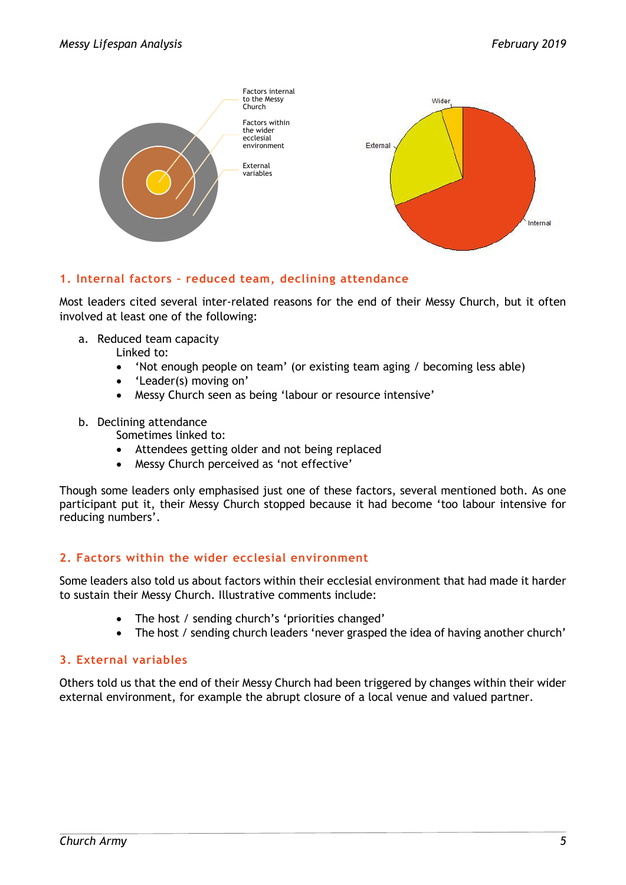

# **1. Internal factors – reduced team, declining attendance**

Most leaders cited several inter-related reasons for the end of their Messy Church, but it often involved at least one of the following:

a. Reduced team capacity

Linked to:

- 'Not enough people on team' (or existing team aging / becoming less able)
- 'Leader(s) moving on'
- Messy Church seen as being 'labour or resource intensive'
- b. Declining attendance

Sometimes linked to:

- Attendees getting older and not being replaced
- Messy Church perceived as 'not effective'

Though some leaders only emphasised just one of these factors, several mentioned both. As one participant put it, their Messy Church stopped because it had become 'too labour intensive for reducing numbers'.

# **2. Factors within the wider ecclesial environment**

Some leaders also told us about factors within their ecclesial environment that had made it harder to sustain their Messy Church. Illustrative comments include:

- The host / sending church's 'priorities changed'
- The host / sending church leaders 'never grasped the idea of having another church'

# **3. External variables**

Others told us that the end of their Messy Church had been triggered by changes within their wider external environment, for example the abrupt closure of a local venue and valued partner.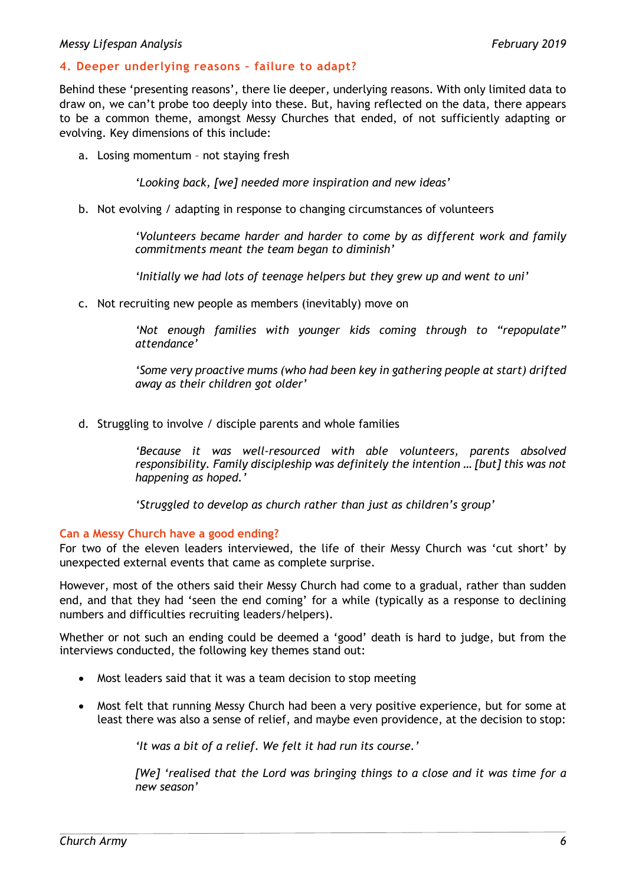#### *Messy Lifespan Analysis February 2019*

#### **4. Deeper underlying reasons – failure to adapt?**

Behind these 'presenting reasons', there lie deeper, underlying reasons. With only limited data to draw on, we can't probe too deeply into these. But, having reflected on the data, there appears to be a common theme, amongst Messy Churches that ended, of not sufficiently adapting or evolving. Key dimensions of this include:

a. Losing momentum – not staying fresh

*'Looking back, [we] needed more inspiration and new ideas'*

b. Not evolving / adapting in response to changing circumstances of volunteers

*'Volunteers became harder and harder to come by as different work and family commitments meant the team began to diminish'*

*'Initially we had lots of teenage helpers but they grew up and went to uni'*

c. Not recruiting new people as members (inevitably) move on

*'Not enough families with younger kids coming through to "repopulate" attendance'*

*'Some very proactive mums (who had been key in gathering people at start) drifted away as their children got older'*

d. Struggling to involve / disciple parents and whole families

*'Because it was well-resourced with able volunteers, parents absolved responsibility. Family discipleship was definitely the intention … [but] this was not happening as hoped.'*

*'Struggled to develop as church rather than just as children's group'*

#### **Can a Messy Church have a good ending?**

For two of the eleven leaders interviewed, the life of their Messy Church was 'cut short' by unexpected external events that came as complete surprise.

However, most of the others said their Messy Church had come to a gradual, rather than sudden end, and that they had 'seen the end coming' for a while (typically as a response to declining numbers and difficulties recruiting leaders/helpers).

Whether or not such an ending could be deemed a 'good' death is hard to judge, but from the interviews conducted, the following key themes stand out:

- Most leaders said that it was a team decision to stop meeting
- Most felt that running Messy Church had been a very positive experience, but for some at least there was also a sense of relief, and maybe even providence, at the decision to stop:

*'It was a bit of a relief. We felt it had run its course.'*

*[We] 'realised that the Lord was bringing things to a close and it was time for a new season'*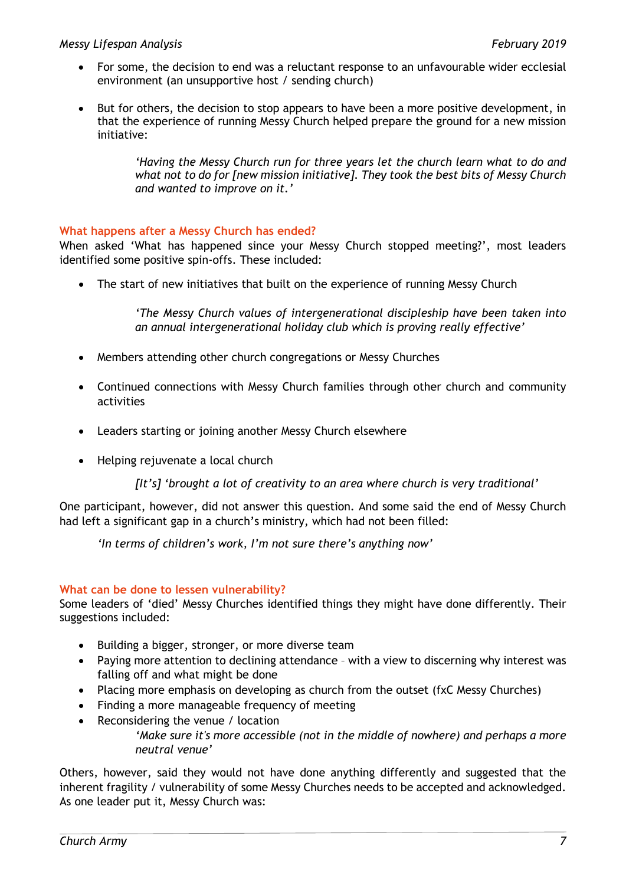# *Messy Lifespan Analysis February 2019*

- For some, the decision to end was a reluctant response to an unfavourable wider ecclesial environment (an unsupportive host / sending church)
- But for others, the decision to stop appears to have been a more positive development, in that the experience of running Messy Church helped prepare the ground for a new mission initiative:

*'Having the Messy Church run for three years let the church learn what to do and what not to do for [new mission initiative]. They took the best bits of Messy Church and wanted to improve on it.'*

# **What happens after a Messy Church has ended?**

When asked 'What has happened since your Messy Church stopped meeting?', most leaders identified some positive spin-offs. These included:

• The start of new initiatives that built on the experience of running Messy Church

*'The Messy Church values of intergenerational discipleship have been taken into an annual intergenerational holiday club which is proving really effective'*

- Members attending other church congregations or Messy Churches
- Continued connections with Messy Church families through other church and community activities
- Leaders starting or joining another Messy Church elsewhere
- Helping rejuvenate a local church

*[It's] 'brought a lot of creativity to an area where church is very traditional'*

One participant, however, did not answer this question. And some said the end of Messy Church had left a significant gap in a church's ministry, which had not been filled:

*'In terms of children's work, I'm not sure there's anything now'*

#### **What can be done to lessen vulnerability?**

Some leaders of 'died' Messy Churches identified things they might have done differently. Their suggestions included:

- Building a bigger, stronger, or more diverse team
- Paying more attention to declining attendance with a view to discerning why interest was falling off and what might be done
- Placing more emphasis on developing as church from the outset (fxC Messy Churches)
- Finding a more manageable frequency of meeting
- Reconsidering the venue / location
	- *'Make sure it's more accessible (not in the middle of nowhere) and perhaps a more neutral venue'*

Others, however, said they would not have done anything differently and suggested that the inherent fragility / vulnerability of some Messy Churches needs to be accepted and acknowledged. As one leader put it, Messy Church was: